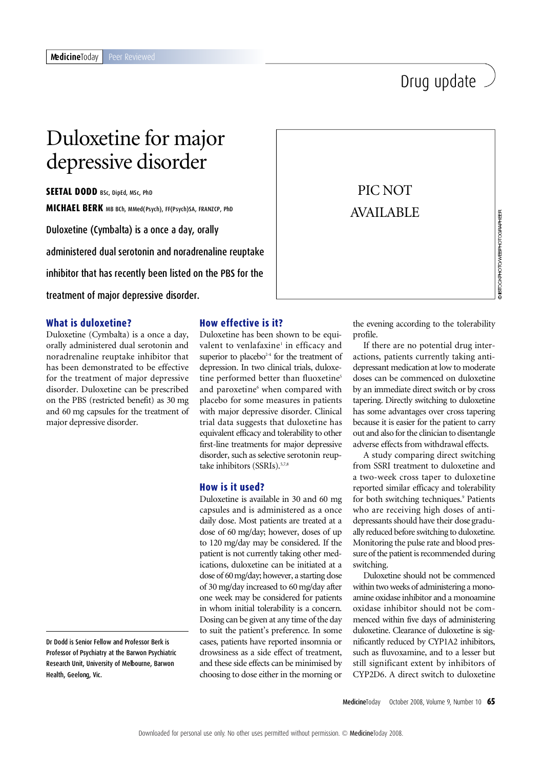# Drug update

# Duloxetine for major depressive disorder

**SEETAL DODD** BSc, DipEd, MSc, PhD **MICHAEL BERK** MB BCh, MMed(Psych), FF(Psych)SA, FRANZCP, PhD Duloxetine (Cymbalta) is a once a day, orally

administered dual serotonin and noradrenaline reuptake inhibitor that has recently been listed on the PBS for the treatment of major depressive disorder.

# **What is duloxetine?**

Duloxetine (Cymbalta) is a once a day, orally administered dual serotonin and noradrenaline reuptake inhibitor that has been demonstrated to be effective for the treatment of major depressive disorder. Duloxetine can be prescribed on the PBS (restricted benefit) as 30 mg and 60 mg capsules for the treatment of major depressive disorder.

Dr Dodd is Senior Fellow and Professor Berk is Professor of Psychiatry at the Barwon Psychiatric Research Unit, University of Melbourne, Barwon Health, Geelong, Vic.

# **How effective is it?**

Duloxetine has been shown to be equivalent to venlafaxine<sup>1</sup> in efficacy and superior to placebo<sup>2-4</sup> for the treatment of depression. In two clinical trials, duloxetine performed better than fluoxetine<sup>5</sup> and paroxetine<sup>6</sup> when compared with placebo for some measures in patients with major depressive disorder. Clinical trial data suggests that duloxetine has equivalent efficacy and tolerability to other first-line treatments for major depressive disorder, such as selective serotonin reuptake inhibitors (SSRIs).<sup>5,7,8</sup>

# **How is it used?**

in whom initial tolerability is a concern. Oxidase inhib ume, Barwon and these side effects can be minimised by still significar Duloxetine is available in 30 and 60 mg capsules and is administered as a once daily dose. Most patients are treated at a dose of 60 mg/day; however, doses of up to 120 mg/day may be considered. If the patient is not currently taking other medications, duloxetine can be initiated at a dose of 60mg/day; however, a starting dose of 30 mg/day increased to 60 mg/day after one week may be considered for patients Dosing can be given at any time of the day to suit the patient's preference. In some cases, patients have reported insomnia or drowsiness as a side effect of treatment, choosing to dose either in the morning or



**DISTOCKPHOTO/WEBPHOTOGRAPHEER** 

the evening according to the tolerability profile.

If there are no potential drug interactions, patients currently taking antidepressant medication at low to moderate doses can be commenced on duloxetine by an immediate direct switch or by cross tapering. Directly switching to duloxetine has some advantages over cross tapering because it is easier for the patient to carry out and also for the clinician to disentangle adverse effects from withdrawal effects.

A study comparing direct switching from SSRI treatment to duloxetine and a two-week cross taper to duloxetine reported similar efficacy and tolerability for both switching techniques.<sup>9</sup> Patients who are receiving high doses of antidepressants should have their dose gradually reduced before switching to duloxetine. Monitoring the pulse rate and blood pressure of the patient is recommended during switching.

Duloxetine should not be commenced within two weeks of administering a monoamine oxidase inhibitor and a monoamine oxidase inhibitor should not be commenced within five days of administering duloxetine. Clearance of duloxetine is significantly reduced by CYP1A2 inhibitors, such as fluvoxamine, and to a lesser but still significant extent by inhibitors of CYP2D6. A direct switch to duloxetine